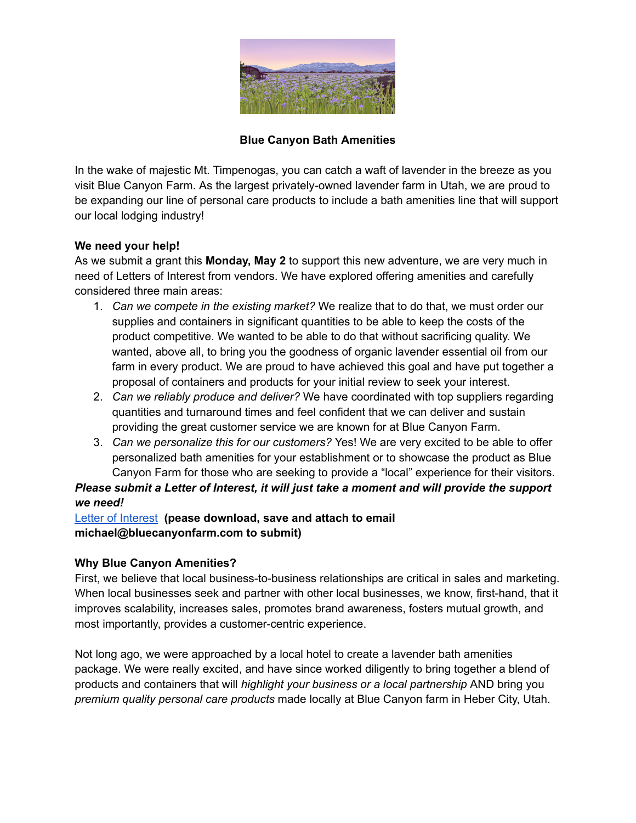

## **Blue Canyon Bath Amenities**

 In the wake of majestic Mt. Timpenogas, you can catch a waft of lavender in the breeze as you visit Blue Canyon Farm. As the largest privately-owned lavender farm in Utah, we are proud to be expanding our line of personal care products to include a bath amenities line that will support our local lodging industry!

## **We need your help!**

 As we submit a grant this **Monday, May 2** to support this new adventure, we are very much in need of Letters of Interest from vendors. We have explored offering amenities and carefully considered three main areas:

- 1. *Can we compete in the existing market?* We realize that to do that, we must order our supplies and containers in significant quantities to be able to keep the costs of the product competitive. We wanted to be able to do that without sacrificing quality. We wanted, above all, to bring you the goodness of organic lavender essential oil from our farm in every product. We are proud to have achieved this goal and have put together a proposal of containers and products for your initial review to seek your interest.
- 2. *Can we reliably produce and deliver?* We have coordinated with top suppliers regarding quantities and turnaround times and feel confident that we can deliver and sustain providing the great customer service we are known for at Blue Canyon Farm.
- 3. *Can we personalize this for our customers?* Yes! We are very excited to be able to offer personalized bath amenities for your establishment or to showcase the product as Blue Canyon Farm for those who are seeking to provide a "local" experience for their visitors.

 *Please submit a Letter of Interest, it will just take a moment and will provide the support we need!* 

 [Letter of Interest](https://nebula.wsimg.com/4c5f77b0ec17af7927596b9b435553ec?AccessKeyId=4D95A0FD99C7AD8F9087&disposition=0&alloworigin=1) **(pease download, save and attach to email michael@bluecanyonfarm.com to submit)** 

# **Why Blue Canyon Amenities?**

 First, we believe that local business-to-business relationships are critical in sales and marketing. When local businesses seek and partner with other local businesses, we know, first-hand, that it improves scalability, increases sales, promotes brand awareness, fosters mutual growth, and most importantly, provides a customer-centric experience.

 Not long ago, we were approached by a local hotel to create a lavender bath amenities package. We were really excited, and have since worked diligently to bring together a blend of products and containers that will *highlight your business or a local partnership* AND bring you  *premium quality personal care products* made locally at Blue Canyon farm in Heber City, Utah.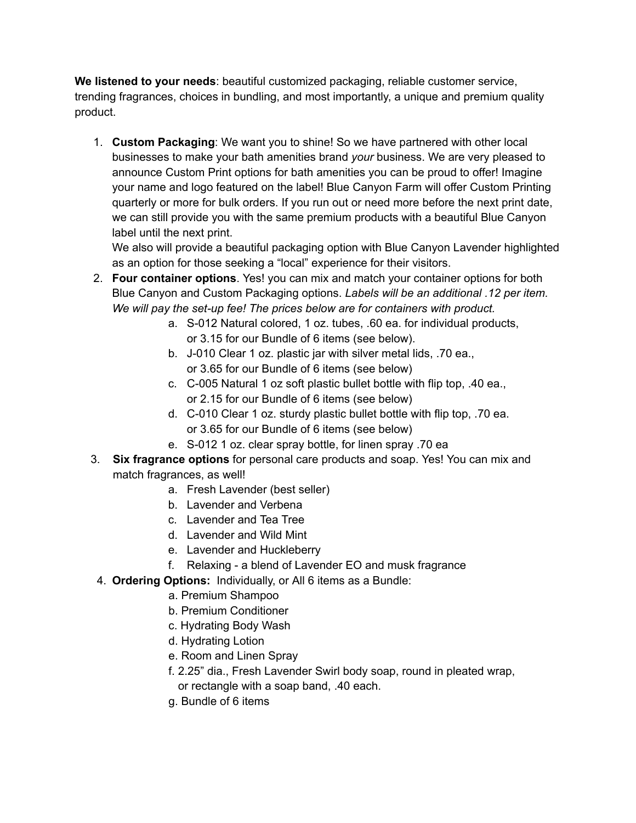**We listened to your needs** : beautiful customized packaging, reliable customer service, trending fragrances, choices in bundling, and most importantly, a unique and premium quality product.

 1. **Custom Packaging** : We want you to shine! So we have partnered with other local businesses to make your bath amenities brand *your* business. We are very pleased to announce Custom Print options for bath amenities you can be proud to offer! Imagine your name and logo featured on the label! Blue Canyon Farm will offer Custom Printing quarterly or more for bulk orders. If you run out or need more before the next print date, we can still provide you with the same premium products with a beautiful Blue Canyon label until the next print.

 We also will provide a beautiful packaging option with Blue Canyon Lavender highlighted as an option for those seeking a "local" experience for their visitors.

- 2. **Four container options** . Yes! you can mix and match your container options for both Blue Canyon and Custom Packaging options. *Labels will be an additional .12 per item. We will pay the set-up fee! The prices below are for containers with product.* 
	- a. S-012 Natural colored, 1 oz. tubes, .60 ea. for individual products, or 3.15 for our Bundle of 6 items (see below).
	- b. J-010 Clear 1 oz. plastic jar with silver metal lids, .70 ea., or 3.65 for our Bundle of 6 items (see below)
	- c. C-005 Natural 1 oz soft plastic bullet bottle with flip top, .40 ea., or 2.15 for our Bundle of 6 items (see below)
	- d. C-010 Clear 1 oz. sturdy plastic bullet bottle with flip top, .70 ea. or 3.65 for our Bundle of 6 items (see below)
	- e. S-012 1 oz. clear spray bottle, for linen spray .70 ea
- 3. **Six fragrance options** for personal care products and soap. Yes! You can mix and match fragrances, as well!
	- a. Fresh Lavender (best seller)
	- b. Lavender and Verbena
	- c. Lavender and Tea Tree
	- d. Lavender and Wild Mint
	- e. Lavender and Huckleberry
	- f. Relaxing a blend of Lavender EO and musk fragrance
- 4. **Ordering Options:** Individually, or All 6 items as a Bundle:
	- a. Premium Shampoo
	- b. Premium Conditioner
	- c. Hydrating Body Wash
	- d. Hydrating Lotion
	- e. Room and Linen Spray
	- f. 2.25" dia., Fresh Lavender Swirl body soap, round in pleated wrap, or rectangle with a soap band, .40 each.
	-
	- g. Bundle of 6 items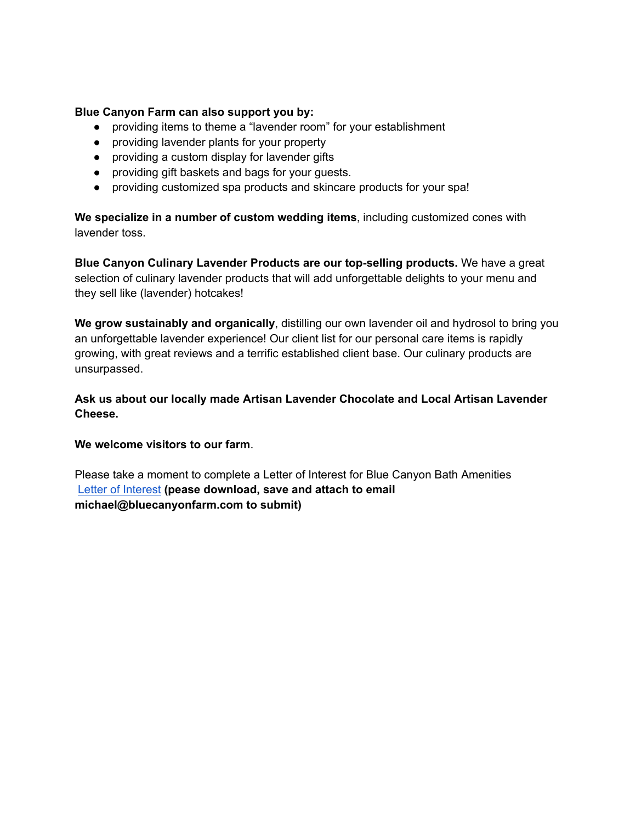#### **Blue Canyon Farm can also support you by:**

- providing items to theme a "lavender room" for your establishment
- providing lavender plants for your property
- providing a custom display for lavender gifts
- providing gift baskets and bags for your guests.
- providing customized spa products and skincare products for your spa!

We specialize in a number of custom wedding items, including customized cones with lavender toss.

 **Blue Canyon Culinary Lavender Products are our top-selling products.** We have a great selection of culinary lavender products that will add unforgettable delights to your menu and they sell like (lavender) hotcakes!

We grow sustainably and organically, distilling our own lavender oil and hydrosol to bring you an unforgettable lavender experience! Our client list for our personal care items is rapidly growing, with great reviews and a terrific established client base. Our culinary products are unsurpassed.

 **Ask us about our locally made Artisan Lavender Chocolate and Local Artisan Lavender Cheese.** 

## **We welcome visitors to our farm** .

 Please take a moment to complete a Letter of Interest for Blue Canyon Bath Amenities  [Letter of Interest](https://nebula.wsimg.com/4c5f77b0ec17af7927596b9b435553ec?AccessKeyId=4D95A0FD99C7AD8F9087&disposition=0&alloworigin=1) **(pease download, save and attach to email michael@bluecanyonfarm.com to submit)**